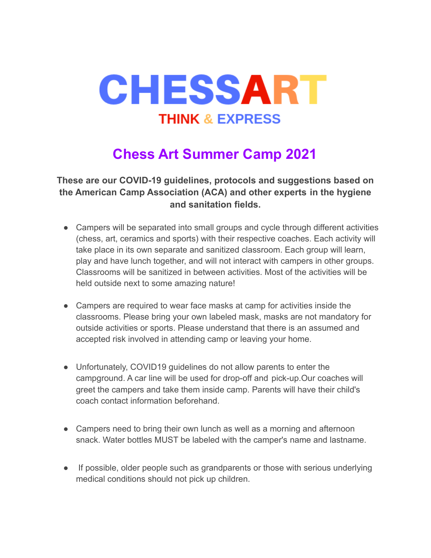

## **Chess Art Summer Camp 2021**

**These are our COVID-19 guidelines, protocols and suggestions based on the American Camp Association (ACA) and other experts in the hygiene and sanitation fields.**

- Campers will be separated into small groups and cycle through different activities (chess, art, ceramics and sports) with their respective coaches. Each activity will take place in its own separate and sanitized classroom. Each group will learn, play and have lunch together, and will not interact with campers in other groups. Classrooms will be sanitized in between activities. Most of the activities will be held outside next to some amazing nature!
- Campers are required to wear face masks at camp for activities inside the classrooms. Please bring your own labeled mask, masks are not mandatory for outside activities or sports. Please understand that there is an assumed and accepted risk involved in attending camp or leaving your home.
- Unfortunately, COVID19 guidelines do not allow parents to enter the campground. A car line will be used for drop-off and pick-up.Our coaches will greet the campers and take them inside camp. Parents will have their child's coach contact information beforehand.
- Campers need to bring their own lunch as well as a morning and afternoon snack. Water bottles MUST be labeled with the camper's name and lastname.
- If possible, older people such as grandparents or those with serious underlying medical conditions should not pick up children.